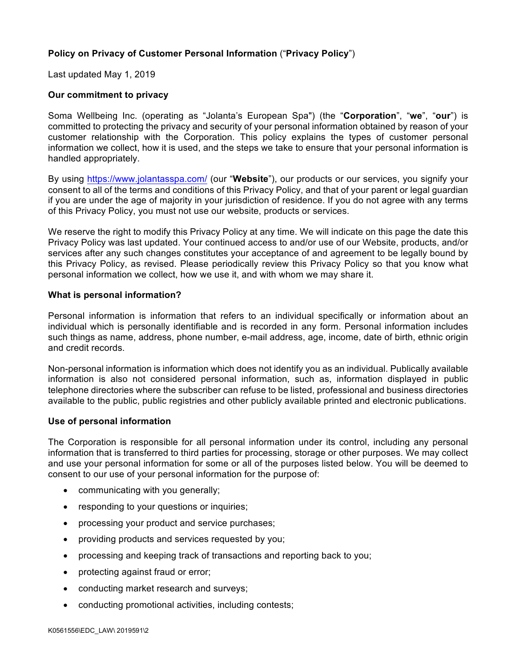# **Policy on Privacy of Customer Personal Information** ("**Privacy Policy**")

Last updated May 1, 2019

# **Our commitment to privacy**

Soma Wellbeing Inc. (operating as "Jolanta's European Spa") (the "**Corporation**", "**we**", "**our**") is committed to protecting the privacy and security of your personal information obtained by reason of your customer relationship with the Corporation. This policy explains the types of customer personal information we collect, how it is used, and the steps we take to ensure that your personal information is handled appropriately.

By using https://www.jolantasspa.com/ (our "**Website**"), our products or our services, you signify your consent to all of the terms and conditions of this Privacy Policy, and that of your parent or legal guardian if you are under the age of majority in your jurisdiction of residence. If you do not agree with any terms of this Privacy Policy, you must not use our website, products or services.

We reserve the right to modify this Privacy Policy at any time. We will indicate on this page the date this Privacy Policy was last updated. Your continued access to and/or use of our Website, products, and/or services after any such changes constitutes your acceptance of and agreement to be legally bound by this Privacy Policy, as revised. Please periodically review this Privacy Policy so that you know what personal information we collect, how we use it, and with whom we may share it.

## **What is personal information?**

Personal information is information that refers to an individual specifically or information about an individual which is personally identifiable and is recorded in any form. Personal information includes such things as name, address, phone number, e-mail address, age, income, date of birth, ethnic origin and credit records.

Non-personal information is information which does not identify you as an individual. Publically available information is also not considered personal information, such as, information displayed in public telephone directories where the subscriber can refuse to be listed, professional and business directories available to the public, public registries and other publicly available printed and electronic publications.

## **Use of personal information**

The Corporation is responsible for all personal information under its control, including any personal information that is transferred to third parties for processing, storage or other purposes. We may collect and use your personal information for some or all of the purposes listed below. You will be deemed to consent to our use of your personal information for the purpose of:

- communicating with you generally;
- responding to your questions or inquiries;
- processing your product and service purchases;
- providing products and services requested by you;
- processing and keeping track of transactions and reporting back to you;
- protecting against fraud or error;
- conducting market research and surveys;
- conducting promotional activities, including contests;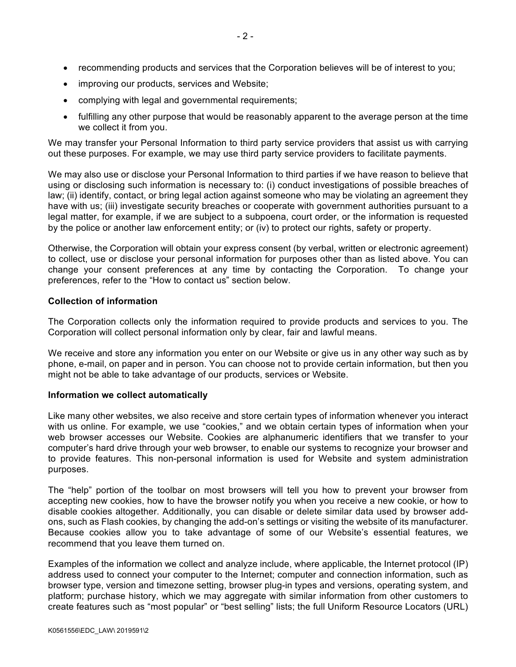- recommending products and services that the Corporation believes will be of interest to you;
- improving our products, services and Website;
- complying with legal and governmental requirements;
- fulfilling any other purpose that would be reasonably apparent to the average person at the time we collect it from you.

We may transfer your Personal Information to third party service providers that assist us with carrying out these purposes. For example, we may use third party service providers to facilitate payments.

We may also use or disclose your Personal Information to third parties if we have reason to believe that using or disclosing such information is necessary to: (i) conduct investigations of possible breaches of law; (ii) identify, contact, or bring legal action against someone who may be violating an agreement they have with us; (iii) investigate security breaches or cooperate with government authorities pursuant to a legal matter, for example, if we are subject to a subpoena, court order, or the information is requested by the police or another law enforcement entity; or (iv) to protect our rights, safety or property.

Otherwise, the Corporation will obtain your express consent (by verbal, written or electronic agreement) to collect, use or disclose your personal information for purposes other than as listed above. You can change your consent preferences at any time by contacting the Corporation. To change your preferences, refer to the "How to contact us" section below.

### **Collection of information**

The Corporation collects only the information required to provide products and services to you. The Corporation will collect personal information only by clear, fair and lawful means.

We receive and store any information you enter on our Website or give us in any other way such as by phone, e-mail, on paper and in person. You can choose not to provide certain information, but then you might not be able to take advantage of our products, services or Website.

#### **Information we collect automatically**

Like many other websites, we also receive and store certain types of information whenever you interact with us online. For example, we use "cookies," and we obtain certain types of information when your web browser accesses our Website. Cookies are alphanumeric identifiers that we transfer to your computer's hard drive through your web browser, to enable our systems to recognize your browser and to provide features. This non-personal information is used for Website and system administration purposes.

The "help" portion of the toolbar on most browsers will tell you how to prevent your browser from accepting new cookies, how to have the browser notify you when you receive a new cookie, or how to disable cookies altogether. Additionally, you can disable or delete similar data used by browser addons, such as Flash cookies, by changing the add-on's settings or visiting the website of its manufacturer. Because cookies allow you to take advantage of some of our Website's essential features, we recommend that you leave them turned on.

Examples of the information we collect and analyze include, where applicable, the Internet protocol (IP) address used to connect your computer to the Internet; computer and connection information, such as browser type, version and timezone setting, browser plug-in types and versions, operating system, and platform; purchase history, which we may aggregate with similar information from other customers to create features such as "most popular" or "best selling" lists; the full Uniform Resource Locators (URL)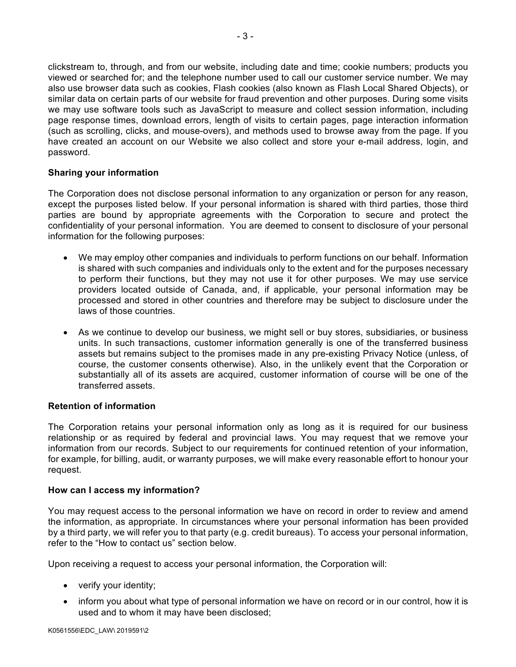clickstream to, through, and from our website, including date and time; cookie numbers; products you viewed or searched for; and the telephone number used to call our customer service number. We may also use browser data such as cookies, Flash cookies (also known as Flash Local Shared Objects), or similar data on certain parts of our website for fraud prevention and other purposes. During some visits we may use software tools such as JavaScript to measure and collect session information, including page response times, download errors, length of visits to certain pages, page interaction information (such as scrolling, clicks, and mouse-overs), and methods used to browse away from the page. If you have created an account on our Website we also collect and store your e-mail address, login, and password.

## **Sharing your information**

The Corporation does not disclose personal information to any organization or person for any reason, except the purposes listed below. If your personal information is shared with third parties, those third parties are bound by appropriate agreements with the Corporation to secure and protect the confidentiality of your personal information. You are deemed to consent to disclosure of your personal information for the following purposes:

- We may employ other companies and individuals to perform functions on our behalf. Information is shared with such companies and individuals only to the extent and for the purposes necessary to perform their functions, but they may not use it for other purposes. We may use service providers located outside of Canada, and, if applicable, your personal information may be processed and stored in other countries and therefore may be subject to disclosure under the laws of those countries.
- As we continue to develop our business, we might sell or buy stores, subsidiaries, or business units. In such transactions, customer information generally is one of the transferred business assets but remains subject to the promises made in any pre-existing Privacy Notice (unless, of course, the customer consents otherwise). Also, in the unlikely event that the Corporation or substantially all of its assets are acquired, customer information of course will be one of the transferred assets.

## **Retention of information**

The Corporation retains your personal information only as long as it is required for our business relationship or as required by federal and provincial laws. You may request that we remove your information from our records. Subject to our requirements for continued retention of your information, for example, for billing, audit, or warranty purposes, we will make every reasonable effort to honour your request.

#### **How can I access my information?**

You may request access to the personal information we have on record in order to review and amend the information, as appropriate. In circumstances where your personal information has been provided by a third party, we will refer you to that party (e.g. credit bureaus). To access your personal information, refer to the "How to contact us" section below.

Upon receiving a request to access your personal information, the Corporation will:

- verify your identity;
- inform you about what type of personal information we have on record or in our control, how it is used and to whom it may have been disclosed;